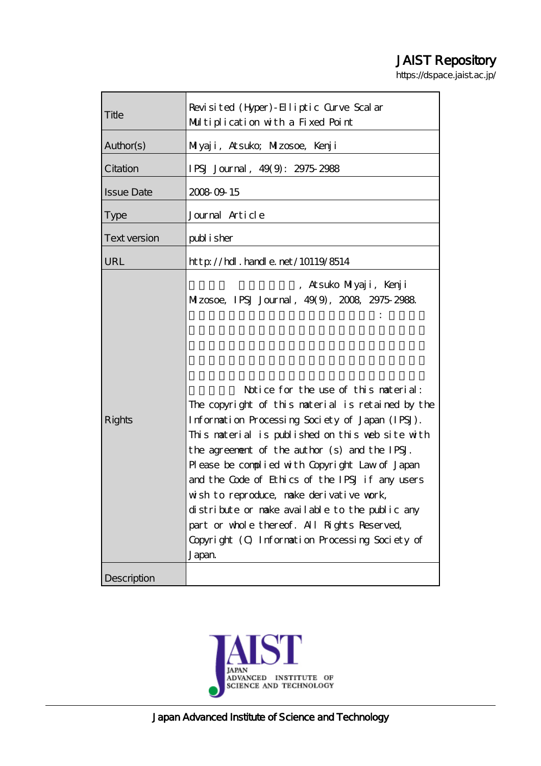# JAIST Repository

https://dspace.jaist.ac.jp/

| Title               | Revisited (Hyper) - Elliptic Curve Scalar<br>Multiplication with a Fixed Point                                                                                                                                                                                                                                                                                                                                                                                                                                                                                 |
|---------------------|----------------------------------------------------------------------------------------------------------------------------------------------------------------------------------------------------------------------------------------------------------------------------------------------------------------------------------------------------------------------------------------------------------------------------------------------------------------------------------------------------------------------------------------------------------------|
| Author(s)           | Milyaji, Atsuko; Milzosoe, Kenji                                                                                                                                                                                                                                                                                                                                                                                                                                                                                                                               |
| Citation            | IPSJ Journal, 49(9): 2975 2988                                                                                                                                                                                                                                                                                                                                                                                                                                                                                                                                 |
| <b>Issue Date</b>   | 2008 09 15                                                                                                                                                                                                                                                                                                                                                                                                                                                                                                                                                     |
| <b>Type</b>         | Journal Article                                                                                                                                                                                                                                                                                                                                                                                                                                                                                                                                                |
| <b>Text version</b> | publisher                                                                                                                                                                                                                                                                                                                                                                                                                                                                                                                                                      |
| URL                 | $http$ // $hdl$ . handle. net/10119/8514                                                                                                                                                                                                                                                                                                                                                                                                                                                                                                                       |
|                     | , Atsuko Milyaji, Kenji<br>Mizosoe, IPSJ Journal, 49(9), 2008, 2975-2988.                                                                                                                                                                                                                                                                                                                                                                                                                                                                                      |
| <b>Rights</b>       | Notice for the use of this naterial:<br>The copyright of this material is retained by the<br>Information Processing Society of Japan (IPSJ).<br>This material is published on this web site with<br>the agreement of the author (s) and the IPSJ.<br>Please be complied with Copyright Law of Japan<br>and the Code of Ethics of the IPSJ if any users<br>wish to reproduce, make derivative work,<br>distribute or make available to the public any<br>part or whole thereof. All Rights Reserved,<br>Copyright (O Information Processing Society of<br>Japan |
| Description         |                                                                                                                                                                                                                                                                                                                                                                                                                                                                                                                                                                |

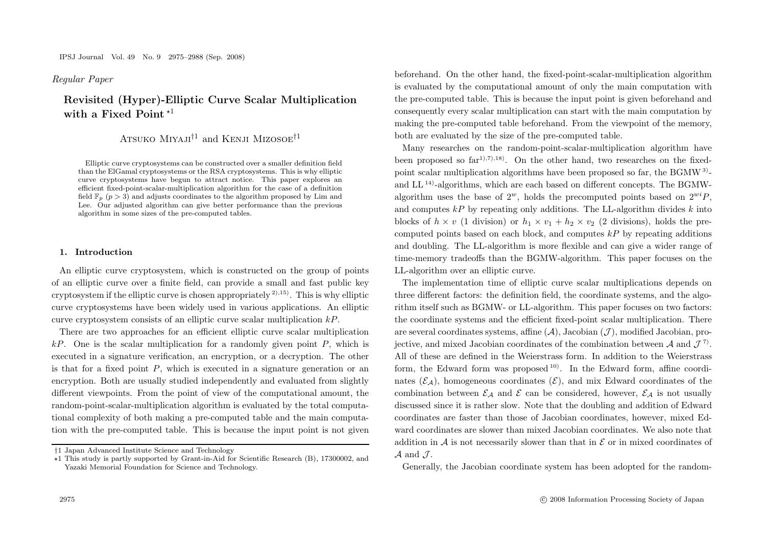Regular Paper *Regular Paper*

# **Revisited (Hyper)-Elliptic Curve Scalar Multiplication** with a Fixed Point<sup>\*1</sup>

# ATSUKO MIYAJI<sup>†1</sup> and KENJI MIZOSOE<sup>†1</sup>

Elliptic curve cryptosystems can be constructed over a smaller definition field than the ElGamal cryptosystems or the RSA cryptosystems. This is why elliptic curve cryptosystems have begun to attract notice. This paper explores an efficient fixed-point-scalar-multiplication algorithm for the case of a definition field  $\mathbb{F}_p$  ( $p > 3$ ) and adjusts coordinates to the algorithm proposed by Lim and Lee. Our adjusted algorithm can give better performance than the previous algorithm in some sizes of the pre-computed tables.

#### **1. Introduction**

An elliptic curve cryptosystem, which is constructed on the group of points of an elliptic curve over a finite field, can provide a small and fast public key cryptosystem if the elliptic curve is chosen appropriately  $^{2,15}$ . This is why elliptic curve cryptosystems have been widely used in various applications. An elliptic curve cryptosystem consists of an elliptic curve scalar multiplication  $kP$ .

There are two approaches for an efficient elliptic curve scalar multiplication  $kP$ . One is the scalar multiplication for a randomly given point P, which is executed in a signature verification, an encryption, or a decryption. The other is that for a fixed point  $P$ , which is executed in a signature generation or an encryption. Both are usually studied independently and evaluated from slightly different viewpoints. From the point of view of the computational amount, the random-point-scalar-multiplication algorithm is evaluated by the total computational complexity of both making a pre-computed table and the main computation with the pre-computed table. This is because the input point is not given beforehand. On the other hand, the fixed-point-scalar-multiplication algorithm is evaluated by the computational amount of only the main computation with the pre-computed table. This is because the input point is given beforehand and consequently every scalar multiplication can start with the main computation by making the pre-computed table beforehand. From the viewpoint of the memory, both are evaluated by the size of the pre-computed table.

Many researches on the random-point-scalar-multiplication algorithm have been proposed so  $far^{1,7,1,18}$ . On the other hand, two researches on the fixedpoint scalar multiplication algorithms have been proposed so far, the BGMW3) and LL 14)-algorithms, which are each based on different concepts. The BGMWalgorithm uses the base of  $2^w$ , holds the precomputed points based on  $2^{wi}P$ , and computes  $kP$  by repeating only additions. The LL-algorithm divides k into blocks of  $h \times v$  (1 division) or  $h_1 \times v_1 + h_2 \times v_2$  (2 divisions), holds the precomputed points based on each block, and computes  $kP$  by repeating additions and doubling. The LL-algorithm is more flexible and can give a wider range of time-memory tradeoffs than the BGMW-algorithm. This paper focuses on the LL-algorithm over an elliptic curve.

The implementation time of elliptic curve scalar multiplications depends on three different factors: the definition field, the coordinate systems, and the algorithm itself such as BGMW- or LL-algorithm. This paper focuses on two factors: the coordinate systems and the efficient fixed-point scalar multiplication. There are several coordinates systems, affine  $(\mathcal{A})$ , Jacobian  $(\mathcal{J})$ , modified Jacobian, projective, and mixed Jacobian coordinates of the combination between  $\mathcal A$  and  $\mathcal J^7$ . All of these are defined in the Weierstrass form. In addition to the Weierstrass form, the Edward form was proposed  $10$ . In the Edward form, affine coordinates  $(\mathcal{E}_A)$ , homogeneous coordinates  $(\mathcal{E})$ , and mix Edward coordinates of the combination between  $\mathcal{E}_A$  and  $\mathcal E$  can be considered, however,  $\mathcal{E}_A$  is not usually discussed since it is rather slow. Note that the doubling and addition of Edward coordinates are faster than those of Jacobian coordinates, however, mixed Edward coordinates are slower than mixed Jacobian coordinates. We also note that addition in  $A$  is not necessarily slower than that in  $\mathcal E$  or in mixed coordinates of  $\mathcal A$  and  $\mathcal I$ .

<sup>†</sup>1 Japan Advanced Institute Science and Technology

<sup>\*1</sup> This study is partly supported by Grant-in-Aid for Scientific Research (B), 17300002, and Yazaki Memorial Foundation for Science and Technology.

Generally, the Jacobian coordinate system has been adopted for the random-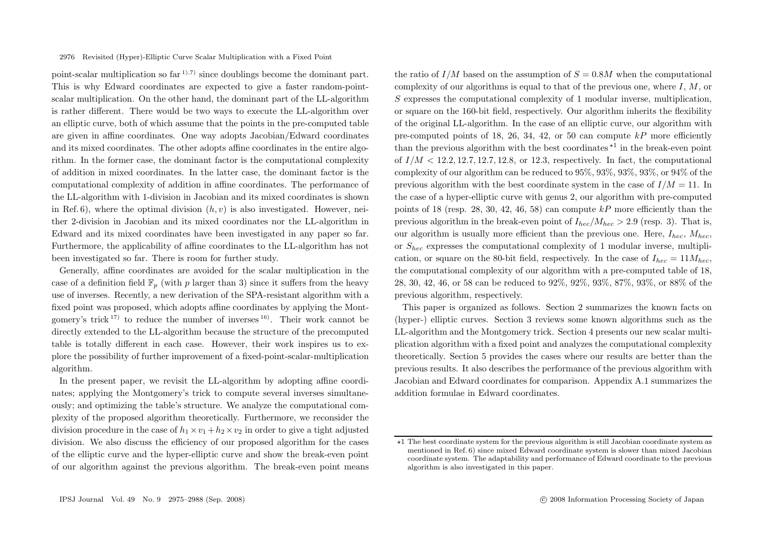point-scalar multiplication so  $far^{1,7}$  since doublings become the dominant part. This is why Edward coordinates are expected to give a faster random-pointscalar multiplication. On the other hand, the dominant part of the LL-algorithm is rather different. There would be two ways to execute the LL-algorithm over an elliptic curve, both of which assume that the points in the pre-computed table are given in affine coordinates. One way adopts Jacobian/Edward coordinates and its mixed coordinates. The other adopts affine coordinates in the entire algorithm. In the former case, the dominant factor is the computational complexity of addition in mixed coordinates. In the latter case, the dominant factor is the computational complexity of addition in affine coordinates. The performance of the LL-algorithm with 1-division in Jacobian and its mixed coordinates is shown in Ref. 6), where the optimal division  $(h, v)$  is also investigated. However, neither 2-division in Jacobian and its mixed coordinates nor the LL-algorithm in Edward and its mixed coordinates have been investigated in any paper so far. Furthermore, the applicability of affine coordinates to the LL-algorithm has not been investigated so far. There is room for further study.

Generally, affine coordinates are avoided for the scalar multiplication in the case of a definition field  $\mathbb{F}_p$  (with p larger than 3) since it suffers from the heavy use of inverses. Recently, a new derivation of the SPA-resistant algorithm with a fixed point was proposed, which adopts affine coordinates by applying the Montgomery's trick  $17$  to reduce the number of inverses  $16$ . Their work cannot be directly extended to the LL-algorithm because the structure of the precomputed table is totally different in each case. However, their work inspires us to explore the possibility of further improvement of a fixed-point-scalar-multiplication algorithm.

In the present paper, we revisit the LL-algorithm by adopting affine coordinates; applying the Montgomery's trick to compute several inverses simultaneously; and optimizing the table's structure. We analyze the computational complexity of the proposed algorithm theoretically. Furthermore, we reconsider the division procedure in the case of  $h_1 \times v_1 + h_2 \times v_2$  in order to give a tight adjusted division. We also discuss the efficiency of our proposed algorithm for the cases of the elliptic curve and the hyper-elliptic curve and show the break-even point of our algorithm against the previous algorithm. The break-even point means

the ratio of  $I/M$  based on the assumption of  $S = 0.8M$  when the computational complexity of our algorithms is equal to that of the previous one, where  $I, M$ , or S expresses the computational complexity of 1 modular inverse, multiplication, or square on the 160-bit field, respectively. Our algorithm inherits the flexibility of the original LL-algorithm. In the case of an elliptic curve, our algorithm with pre-computed points of 18, 26, 34, 42, or 50 can compute  $kP$  more efficiently than the previous algorithm with the best coordinates  $\star$ <sup>1</sup> in the break-even point of  $I/M < 12.2, 12.7, 12.7, 12.8$ , or 12.3, respectively. In fact, the computational complexity of our algorithm can be reduced to 95%, 93%, 93%, 93%, or 94% of the previous algorithm with the best coordinate system in the case of  $I/M = 11$ . In the case of a hyper-elliptic curve with genus 2, our algorithm with pre-computed points of 18 (resp. 28, 30, 42, 46, 58) can compute  $kP$  more efficiently than the previous algorithm in the break-even point of  $I_{bec}/M_{bec} > 2.9$  (resp. 3). That is, our algorithm is usually more efficient than the previous one. Here,  $I_{here}$ ,  $M_{here}$ or  $S_{hex}$  expresses the computational complexity of 1 modular inverse, multiplication, or square on the 80-bit field, respectively. In the case of  $I_{hec} = 11M_{hec}$ , the computational complexity of our algorithm with a pre-computed table of 18, 28, 30, 42, 46, or 58 can be reduced to 92%, 92%, 93%, 87%, 93%, or 88% of the previous algorithm, respectively.

This paper is organized as follows. Section 2 summarizes the known facts on (hyper-) elliptic curves. Section 3 reviews some known algorithms such as the LL-algorithm and the Montgomery trick. Section 4 presents our new scalar multiplication algorithm with a fixed point and analyzes the computational complexity theoretically. Section 5 provides the cases where our results are better than the previous results. It also describes the performance of the previous algorithm with Jacobian and Edward coordinates for comparison. Appendix A.1 summarizes the addition formulae in Edward coordinates.

<sup>-</sup>1 The best coordinate system for the previous algorithm is still Jacobian coordinate system as mentioned in Ref. 6) since mixed Edward coordinate system is slower than mixed Jacobian coordinate system. The adaptability and performance of Edward coordinate to the previous algorithm is also investigated in this paper.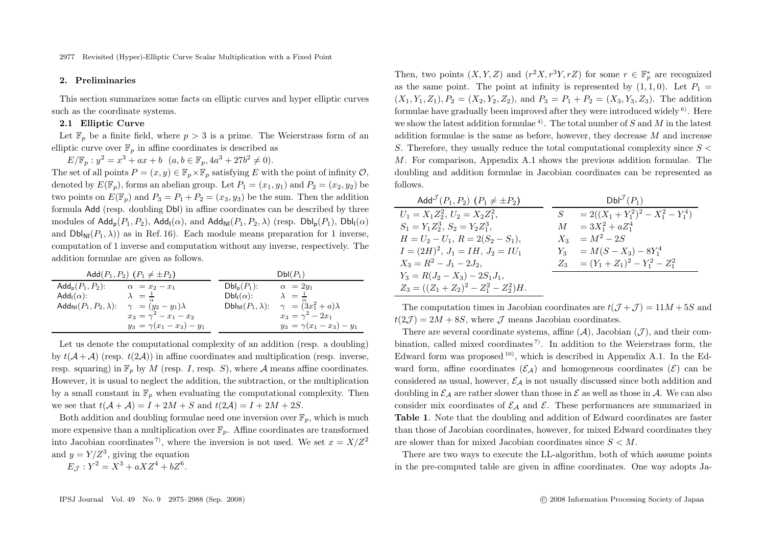# **2. Preliminaries**

This section summarizes some facts on elliptic curves and hyper elliptic curves such as the coordinate systems.

#### **2.1 Elliptic Curve**

Let  $\mathbb{F}_p$  be a finite field, where  $p > 3$  is a prime. The Weierstrass form of an elliptic curve over  $\mathbb{F}_p$  in affine coordinates is described as

 $E/\mathbb{F}_p : y^2 = x^3 + ax + b$   $(a, b \in \mathbb{F}_p, 4a^3 + 27b^2 \neq 0).$ 

The set of all points  $P = (x, y) \in \mathbb{F}_p \times \mathbb{F}_p$  satisfying E with the point of infinity  $\mathcal{O}$ , denoted by  $E(\mathbb{F}_p)$ , forms an abelian group. Let  $P_1 = (x_1, y_1)$  and  $P_2 = (x_2, y_2)$  be two points on  $E(\mathbb{F}_n)$  and  $P_3 = P_1 + P_2 = (x_3, y_3)$  be the sum. Then the addition formula Add (resp. doubling Dbl) in affine coordinates can be described by three modules of  $\mathsf{Add}_n(P_1, P_2)$ ,  $\mathsf{Add}_n(\alpha)$ , and  $\mathsf{Add}_{\mathsf{NI}}(P_1, P_2, \lambda)$  (resp.  $\mathsf{Db}_n(P_1)$ ,  $\mathsf{Db}_n(\alpha)$ and  $Dbl_{\text{NI}}(P_1, \lambda)$  as in Ref. 16). Each module means preparation for 1 inverse. computation of 1 inverse and computation without any inverse, respectively. The addition formulae are given as follows.

| Add $(P_1, P_2)$ $(P_1 \neq \pm P_2)$     |                                 |                                             | $Dbl(P_1)$                                       |
|-------------------------------------------|---------------------------------|---------------------------------------------|--------------------------------------------------|
| $\mathsf{Add_p}(P_1,P_2)$ :               | $\alpha = x_2 - x_1$            | $Dbl_p(P_1)$ :                              | $\alpha = 2y_1$                                  |
| Add <sub>I</sub> $(\alpha)$ :             | $\lambda = \frac{1}{\tau}$      | $Dbl_1(\alpha)$ :                           | $\lambda = \frac{1}{2}$                          |
| Add <sub>NI</sub> $(P_1, P_2, \lambda)$ : | $\gamma = (y_2 - y_1)\lambda$   | $\mathsf{Dbl}_{\mathsf{NI}}(P_1,\lambda)$ : | $\gamma = (\overset{\alpha}{3}x_1^2 + a)\lambda$ |
|                                           | $x_3 = \gamma^2 - x_1 - x_2$    |                                             | $x_3 = \gamma^2 - 2x_1$                          |
|                                           | $y_3 = \gamma(x_1 - x_3) - y_1$ |                                             | $y_3 = \gamma(x_1 - x_3) - y_1$                  |

Let us denote the computational complexity of an addition (resp. a doubling) by  $t(A+A)$  (resp.  $t(2A)$ ) in affine coordinates and multiplication (resp. inverse, resp. squaring) in  $\mathbb{F}_p$  by M (resp. I, resp. S), where A means affine coordinates. However, it is usual to neglect the addition, the subtraction, or the multiplication by a small constant in  $\mathbb{F}_p$  when evaluating the computational complexity. Then we see that  $t(A + A) = I + 2M + S$  and  $t(2A) = I + 2M + 2S$ .

Both addition and doubling formulae need one inversion over  $\mathbb{F}_n$ , which is much more expensive than a multiplication over  $\mathbb{F}_n$ . Affine coordinates are transformed into Jacobian coordinates<sup>7</sup>, where the inversion is not used. We set  $x = X/Z^2$ and  $y = Y/Z^3$ , giving the equation

 $E_{\mathcal{I}} : Y^2 = X^3 + aXZ^4 + bZ^6.$ 

Then, two points  $(X, Y, Z)$  and  $(r<sup>2</sup> X, r<sup>3</sup> Y, rZ)$  for some  $r \in \mathbb{F}_{p}^{*}$  are recognized as the same point. The point at infinity is represented by  $(1, 1, 0)$ . Let  $P_1 =$  $(X_1, Y_1, Z_1), P_2 = (X_2, Y_2, Z_2),$  and  $P_3 = P_1 + P_2 = (X_3, Y_3, Z_3)$ . The addition formulae have gradually been improved after they were introduced widely 6). Here we show the latest addition formulae<sup>4</sup>. The total number of S and M in the latest addition formulae is the same as before, however, they decrease M and increase S. Therefore, they usually reduce the total computational complexity since  $S \leq$ M. For comparison, Appendix A.1 shows the previous addition formulae. The doubling and addition formulae in Jacobian coordinates can be represented as follows.

| Add <sup><math>J</math></sup> $(P_1, P_2)$ $(P_1 \neq \pm P_2)$ | $DbI^{\mathcal{J}}(P_1)$                  |
|-----------------------------------------------------------------|-------------------------------------------|
| $U_1 = X_1 Z_2^2, U_2 = X_2 Z_1^2,$                             | $= 2((X_1+Y_1^2)^2-X_1^2-Y_1^4)$<br>$S^-$ |
| $S_1 = Y_1 Z_2^3, S_2 = Y_2 Z_1^3,$                             | $M = 3X_1^2 + aZ_1^4$                     |
| $H = U_2 - U_1, R = 2(S_2 - S_1),$                              | $X_3 = M^2 - 2S$                          |
| $I = (2H)^2, J_1 = IH, J_2 = IU_1$                              | $Y_3 = M(S - X_3) - 8Y_1^4$               |
| $X_3 = R^2 - J_1 - 2J_2,$                                       | $Z_3 = (Y_1 + Z_1)^2 - Y_1^2 - Z_1^2$     |
| $Y_3 = R(J_2 - X_3) - 2S_1J_1,$                                 |                                           |
| $Z_3 = ((Z_1 + Z_2)^2 - Z_1^2 - Z_2^2)H.$                       |                                           |

The computation times in Jacobian coordinates are  $t(\mathcal{J} + \mathcal{J}) = 11M + 5S$  and  $t(2\mathcal{J})=2M+8S$ , where  $\mathcal J$  means Jacobian coordinates.

There are several coordinate systems, affine  $(\mathcal{A})$ , Jacobian  $(\mathcal{J})$ , and their combination, called mixed coordinates<sup>7</sup>. In addition to the Weierstrass form, the Edward form was proposed  $^{10}$ , which is described in Appendix A.1. In the Edward form, affine coordinates  $(\mathcal{E}_A)$  and homogeneous coordinates  $(\mathcal{E})$  can be considered as usual, however,  $\mathcal{E}_{\mathcal{A}}$  is not usually discussed since both addition and doubling in  $\mathcal{E}_A$  are rather slower than those in  $\mathcal{E}$  as well as those in  $\mathcal{A}$ . We can also consider mix coordinates of  $\mathcal{E}_A$  and  $\mathcal{E}$ . These performances are summarized in **Table 1**. Note that the doubling and addition of Edward coordinates are faster than those of Jacobian coordinates, however, for mixed Edward coordinates they are slower than for mixed Jacobian coordinates since  $S < M$ .

There are two ways to execute the LL-algorithm, both of which assume points in the pre-computed table are given in affine coordinates. One way adopts Ja-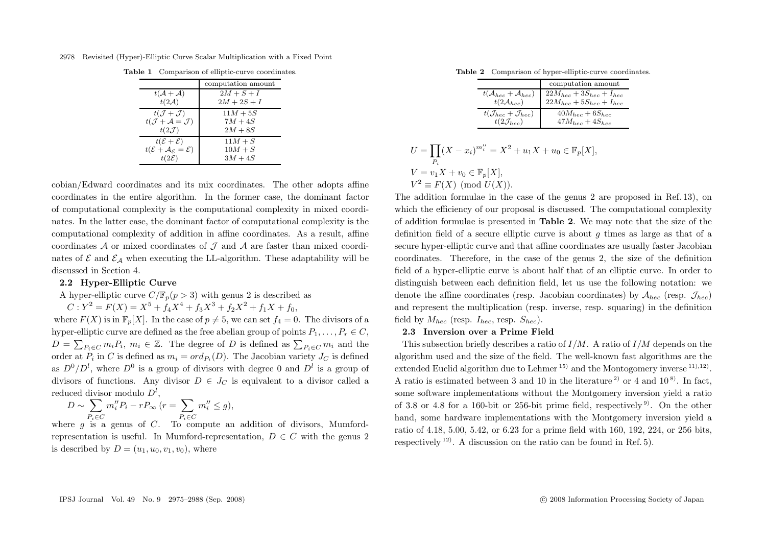2978 Revisited (Hyper)-Elliptic Curve Scalar Multiplication with a Fixed Point

|  | Table 1 Comparison of elliptic-curve coordinates. |  |
|--|---------------------------------------------------|--|
|  |                                                   |  |
|  |                                                   |  |

|                                                            | computation amount |
|------------------------------------------------------------|--------------------|
| $t(A+A)$                                                   | $2M+S+I$           |
| $t(2\mathcal{A})$                                          | $2M + 2S + I$      |
| $t(\mathcal{J}+\mathcal{J})$                               | $11M + 5S$         |
| $t(\mathcal{J} + \mathcal{A} = \mathcal{J})$               | $7M+4S$            |
| $t(2,\mathcal{J})$                                         | $2M+8S$            |
| $t(\mathcal{E}+\mathcal{E})$                               | $11M + S$          |
| $t(\mathcal{E} + \mathcal{A}_{\mathcal{E}} = \mathcal{E})$ | $10M + S$          |
| $t(2\mathcal{E})$                                          | $3M+4S$            |

cobian/Edward coordinates and its mix coordinates. The other adopts affine coordinates in the entire algorithm. In the former case, the dominant factor of computational complexity is the computational complexity in mixed coordinates. In the latter case, the dominant factor of computational complexity is the computational complexity of addition in affine coordinates. As a result, affine coordinates  $\mathcal A$  or mixed coordinates of  $\mathcal J$  and  $\mathcal A$  are faster than mixed coordinates of  $\mathcal E$  and  $\mathcal E_A$  when executing the LL-algorithm. These adaptability will be discussed in Section 4.

#### **2.2 Hyper-Elliptic Curve**

A hyper-elliptic curve  $C/\mathbb{F}_n(p>3)$  with genus 2 is described as

 $C: Y^2 = F(X) = X^5 + f_4X^4 + f_3X^3 + f_2X^2 + f_1X + f_0,$ 

where  $F(X)$  is in  $\mathbb{F}_p[X]$ . In the case of  $p \neq 5$ , we can set  $f_4 = 0$ . The divisors of a hyper-elliptic curve are defined as the free abelian group of points  $P_1, \ldots, P_r \in C$ ,  $D = \sum_{P_i \in C} m_i P_i$ ,  $m_i \in \mathbb{Z}$ . The degree of D is defined as  $\sum_{P_i \in C} m_i$  and the order at  $P_i$  in C is defined as  $m_i = ord_{P_i}(D)$ . The Jacobian variety  $J_C$  is defined as  $D^0/D^l$ , where  $D^0$  is a group of divisors with degree 0 and  $D^l$  is a group of divisors of functions. Any divisor  $D \in J_C$  is equivalent to a divisor called a reduced divisor modulo  $D^l$ ,

$$
D \sim \sum_{P_i \in C} m_i'' P_i - r P_{\infty} \ (r = \sum_{P_i \in C} m_i'' \le g),
$$

where g is a genus of C. To compute an addition of divisors, Mumfordrepresentation is useful. In Mumford-representation,  $D \in \mathbb{C}$  with the genus 2 is described by  $D = (u_1, u_0, v_1, v_0)$ , where

**Table 2** Comparison of hyper-elliptic-curve coordinates.

|                                                                       | computation amount                                                                     |
|-----------------------------------------------------------------------|----------------------------------------------------------------------------------------|
|                                                                       |                                                                                        |
| $t(\mathcal{A}_{hec} + \mathcal{A}_{hec})$<br>$t(2\mathcal{A}_{hec})$ | $\begin{array}{l} 22M_{hec}+3S_{hec}+I_{hec}\\ 22M_{hec}+5S_{hec}+I_{hec} \end{array}$ |
| $t(\mathcal{J}_{hec} + \mathcal{J}_{hec})$                            | $40M_{hec} + 6S_{hec}$                                                                 |
| $t(2\mathcal{J}_{hec})$                                               | $47M_{hec} + 4S_{hec}$                                                                 |

$$
U = \prod_{P_i} (X - x_i)^{m_i''} = X^2 + u_1 X + u_0 \in \mathbb{F}_p[X],
$$
  
\n
$$
V = v_1 X + v_0 \in \mathbb{F}_p[X],
$$
  
\n
$$
V^2 \equiv F(X) \pmod{U(X)}.
$$

The addition formulae in the case of the genus 2 are proposed in Ref. 13), on which the efficiency of our proposal is discussed. The computational complexity of addition formulae is presented in **Table 2**. We may note that the size of the definition field of a secure elliptic curve is about  $q$  times as large as that of a secure hyper-elliptic curve and that affine coordinates are usually faster Jacobian coordinates. Therefore, in the case of the genus 2, the size of the definition field of a hyper-elliptic curve is about half that of an elliptic curve. In order to distinguish between each definition field, let us use the following notation: we denote the affine coordinates (resp. Jacobian coordinates) by  $A_{hec}$  (resp.  $\mathcal{J}_{hec}$ ) and represent the multiplication (resp. inverse, resp. squaring) in the definition field by  $M_{hec}$  (resp.  $I_{hec}$ , resp.  $S_{hec}$ ).

# **2.3 Inversion over a Prime Field**

This subsection briefly describes a ratio of  $I/M$ . A ratio of  $I/M$  depends on the algorithm used and the size of the field. The well-known fast algorithms are the extended Euclid algorithm due to Lehmer<sup>15)</sup> and the Montogomery inverse  $(11)$ ,  $(12)$ . A ratio is estimated between 3 and 10 in the literature <sup>2)</sup> or 4 and  $10^{8}$ . In fact, some software implementations without the Montgomery inversion yield a ratio of 3.8 or 4.8 for a 160-bit or 256-bit prime field, respectively  $9^9$ . On the other hand, some hardware implementations with the Montgomery inversion yield a ratio of 4.18, 5.00, 5.42, or 6.23 for a prime field with 160, 192, 224, or 256 bits, respectively 12). A discussion on the ratio can be found in Ref. 5).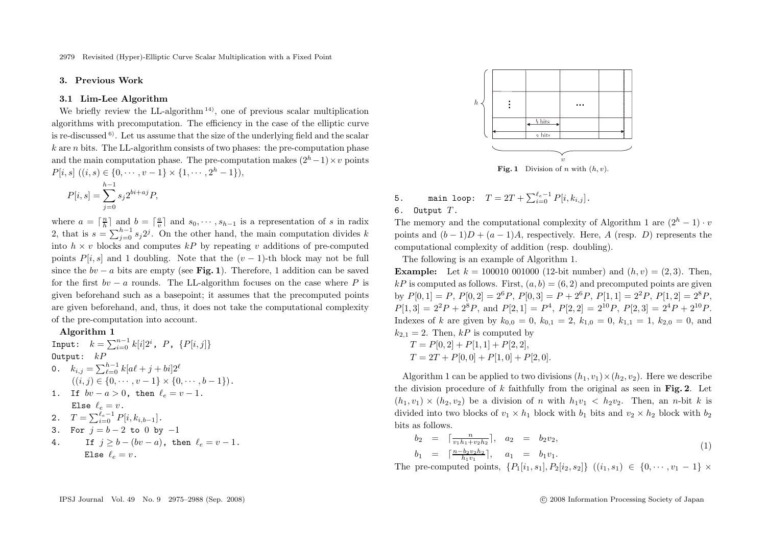# **3. Previous Work**

#### **3.1 Lim-Lee Algorithm**

We briefly review the LL-algorithm<sup>14)</sup>, one of previous scalar multiplication algorithms with precomputation. The efficiency in the case of the elliptic curve is re-discussed 6). Let us assume that the size of the underlying field and the scalar  $k$  are n bits. The LL-algorithm consists of two phases: the pre-computation phase and the main computation phase. The pre-computation makes  $(2<sup>h</sup> - 1) \times v$  points  $P[i, s]$   $((i, s) \in \{0, \cdots, v-1\} \times \{1, \cdots, 2^h-1\}),$ 

$$
P[i, s] = \sum_{j=0}^{h-1} s_j 2^{bi + aj} P,
$$

where  $a = \lceil \frac{n}{h} \rceil$  and  $b = \lceil \frac{a}{v} \rceil$  and  $s_0, \dots, s_{h-1}$  is a representation of s in radix 2, that is  $s = \sum_{j=0}^{h-1} s_j 2^j$ . On the other hand, the main computation divides k into  $h \times v$  blocks and computed kP by repeating v additions of pre-computed points  $P[i, s]$  and 1 doubling. Note that the  $(v - 1)$ -th block may not be full since the  $bv - a$  bits are empty (see **Fig. 1**). Therefore, 1 addition can be saved for the first  $bv - a$  rounds. The LL-algorithm focuses on the case where P is given beforehand such as a basepoint; it assumes that the precomputed points are given beforehand, and, thus, it does not take the computational complexity of the pre-computation into account.

## **Algorithm 1**

Input:  $k = \sum_{i=0}^{n-1} k[i] 2^i$ ,  $P$ ,  $\{P[i,j]\}$ Output:  $kP$ 0.  $k_{i,j} = \sum_{\ell=0}^{h-1} k[a\ell + j + bi]2^{\ell}$  $((i, j) \in \{0, \cdots, v-1\} \times \{0, \cdots, b-1\}).$ 1. If  $bv - a > 0$ , then  $\ell_e = v - 1$ . Else  $\ell_e = v$ . 2.  $T = \sum_{i=0}^{\ell_e-1} P[i, k_{i,b-1}].$ 3. For  $j = b - 2$  to  $0$  by  $-1$ 

4. If 
$$
j \ge b - (bv - a)
$$
, then  $\ell_e = v - 1$ .  
Else  $\ell_e = v$ .



5. main loop:  $T = 2T + \sum_{i=0}^{\ell_e - 1} P[i, k_{i,j}].$ 6. Output  $T$ .

The memory and the computational complexity of Algorithm 1 are  $(2<sup>h</sup> - 1) \cdot v$ points and  $(b-1)D + (a-1)A$ , respectively. Here, A (resp. D) represents the computational complexity of addition (resp. doubling).

The following is an example of Algorithm 1.

**Example:** Let  $k = 100010\ 001000\ (12\text{-bit number})$  and  $(h, v) = (2, 3)$ . Then, kP is computed as follows. First,  $(a, b) = (6, 2)$  and precomputed points are given by  $P[0, 1] = P$ ,  $P[0, 2] = 2^6 P$ ,  $P[0, 3] = P + 2^6 P$ ,  $P[1, 1] = 2^2 P$ ,  $P[1, 2] = 2^8 P$ .  $P[1, 3] = 2^2P + 2^8P$ , and  $P[2, 1] = P^4$ ,  $P[2, 2] = 2^{10}P$ ,  $P[2, 3] = 2^4P + 2^{10}P$ . Indexes of k are given by  $k_{0,0} = 0$ ,  $k_{0,1} = 2$ ,  $k_{1,0} = 0$ ,  $k_{1,1} = 1$ ,  $k_{2,0} = 0$ , and  $k_{2,1} = 2$ . Then, kP is computed by  $T = P[0, 2] + P[1, 1] + P[2, 2]$ 

$$
T = T [0, 2] + T [1, 1] + T [2, 2],
$$
  
\n
$$
T = 2T + P[0, 0] + P[1, 0] + P[2, 0].
$$

Algorithm 1 can be applied to two divisions  $(h_1, v_1) \times (h_2, v_2)$ . Here we describe the division procedure of k faithfully from the original as seen in **Fig. 2**. Let  $(h_1, v_1) \times (h_2, v_2)$  be a division of n with  $h_1v_1 < h_2v_2$ . Then, an n-bit k is divided into two blocks of  $v_1 \times h_1$  block with  $b_1$  bits and  $v_2 \times h_2$  block with  $b_2$ bits as follows.

$$
b_2 = \lceil \frac{n}{v_1 h_1 + v_2 h_2} \rceil, \quad a_2 = b_2 v_2, b_1 = \lceil \frac{n - b_2 v_2 h_2}{h_1 v_1} \rceil, \quad a_1 = b_1 v_1.
$$
 (1)

The pre-computed points,  $\{P_1[i_1, s_1], P_2[i_2, s_2]\}$   $((i_1, s_1) \in \{0, \dots, v_1 - 1\} \times$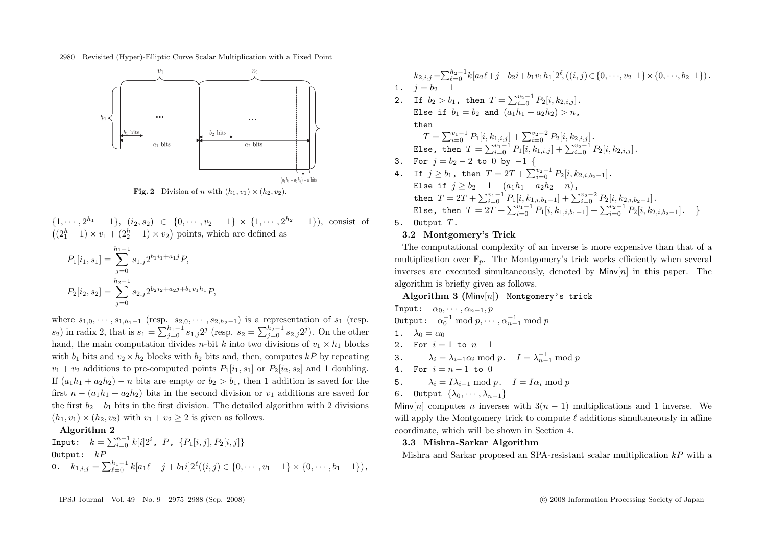

**Fig. 2** Division of n with  $(h_1, v_1) \times (h_2, v_2)$ .

 $\{1, \dots, 2^{h_1} - 1\}, \ (i_2, s_2) \in \{0, \dots, v_2 - 1\} \times \{1, \dots, 2^{h_2} - 1\}$ , consist of  $((2<sub>1</sub><sup>h</sup> - 1) \times v<sub>1</sub> + (2<sub>2</sub><sup>h</sup> - 1) \times v<sub>2</sub>)$  points, which are defined as

$$
P_1[i_1, s_1] = \sum_{j=0}^{h_1-1} s_{1,j} 2^{b_1 i_1 + a_1 j} P,
$$
  

$$
P_2[i_2, s_2] = \sum_{j=0}^{h_2-1} s_{2,j} 2^{b_2 i_2 + a_2 j + b_1 v_1 h_1} P,
$$

where  $s_{1,0}, \cdots, s_{1,h_1-1}$  (resp.  $s_{2,0}, \cdots, s_{2,h_2-1}$ ) is a representation of  $s_1$  (resp.  $s_2$ ) in radix 2, that is  $s_1 = \sum_{j=0}^{h_1-1} s_{1,j} 2^j$  (resp.  $s_2 = \sum_{j=0}^{h_2-1} s_{2,j} 2^j$ ). On the other hand, the main computation divides *n*-bit k into two divisions of  $v_1 \times h_1$  blocks with  $b_1$  bits and  $v_2 \times h_2$  blocks with  $b_2$  bits and, then, computes kP by repeating  $v_1 + v_2$  additions to pre-computed points  $P_1[i_1, s_1]$  or  $P_2[i_2, s_2]$  and 1 doubling. If  $(a_1h_1 + a_2h_2) - n$  bits are empty or  $b_2 > b_1$ , then 1 addition is saved for the first  $n - (a_1h_1 + a_2h_2)$  bits in the second division or  $v_1$  additions are saved for the first  $b_2 - b_1$  bits in the first division. The detailed algorithm with 2 divisions  $(h_1, v_1) \times (h_2, v_2)$  with  $v_1 + v_2 \geq 2$  is given as follows.

# **Algorithm 2**

Input:  $k = \sum_{i=0}^{n-1} k[i]2^i$ ,  $P$ ,  $\{P_1[i,j], P_2[i,j]\}$ Output:  $kP$ 0.  $k_{1,i,j} = \sum_{\ell=0}^{h_1-1} k[a_1\ell + j + b_1i]2^{\ell}((i,j) \in \{0, \cdots, v_1-1\} \times \{0, \cdots, b_1-1\}),$ 

 $k_{2,i,j} = \sum_{\ell=0}^{h_2-1} k [a_2\ell + j + b_2i + b_1v_1h_1] 2^{\ell}, ((i, j) \in \{0, \dots, v_2-1\} \times \{0, \dots, b_2-1\}).$ 1.  $i = b_2 - 1$ 2. If  $b_2 > b_1$ , then  $T = \sum_{i=0}^{v_2-1} P_2[i, k_{2,i,j}]$ . Else if  $b_1 = b_2$  and  $(a_1h_1 + a_2h_2) > n$ , then  $T = \sum_{i=0}^{v_1-1} P_1[i, k_{1,i,j}] + \sum_{i=0}^{v_2-2} P_2[i, k_{2,i,j}].$ Else, then  $T = \sum_{i=0}^{v_1-1} P_1[i, k_{1,i,j}] + \sum_{i=0}^{v_2-1} P_2[i, k_{2,i,j}]$ . 3. For  $j = b_2 - 2$  to 0 by  $-1$  { 4. If  $j \ge b_1$ , then  $T = 2T + \sum_{i=0}^{v_2-1} P_2[i, k_{2,i,b_2-1}].$ Else if  $j > b_2 - 1 - (a_1h_1 + a_2h_2 - n)$ , then  $T = 2T + \sum_{i=0}^{v_1-1} P_1[i, k_{1,i,b_1-1}] + \sum_{i=0}^{v_2-2} P_2[i, k_{2,i,b_2-1}].$ Else, then  $T = 2T + \sum_{i=0}^{v_1-1} P_1[i, k_{1,i,b_1-1}] + \sum_{i=0}^{v_2-1} P_2[i, k_{2,i,b_2-1}]$ .

5. Output  $T$ .

# **3.2 Montgomery's Trick**

The computational complexity of an inverse is more expensive than that of a multiplication over  $\mathbb{F}_p$ . The Montgomery's trick works efficiently when several inverses are executed simultaneously, denoted by  $Minv[n]$  in this paper. The algorithm is briefly given as follows.

# **Algorithm 3 (**Minv[n]**)** Montgomery's trick

Input:  $\alpha_0, \cdots, \alpha_{n-1}, p$ Output:  $\alpha_0^{-1} \bmod p, \cdots, \alpha_{n-1}^{-1} \bmod p$ 1.  $\lambda_0 = \alpha_0$ 2. For  $i = 1$  to  $n - 1$ 3.  $\lambda_i = \lambda_{i-1} \alpha_i \mod p$ .  $I = \lambda_{n-1}^{-1} \mod p$ 4. For  $i = n - 1$  to 0 5.  $\lambda_i = I\lambda_{i-1} \bmod p$ .  $I = I\alpha_i \bmod p$ 6. Output  $\{\lambda_0, \cdots, \lambda_{n-1}\}$ 

Minv[n] computes n inverses with  $3(n - 1)$  multiplications and 1 inverse. We will apply the Montgomery trick to compute  $\ell$  additions simultaneously in affine coordinate, which will be shown in Section 4.

#### **3.3 Mishra-Sarkar Algorithm**

Mishra and Sarkar proposed an SPA-resistant scalar multiplication  $kP$  with a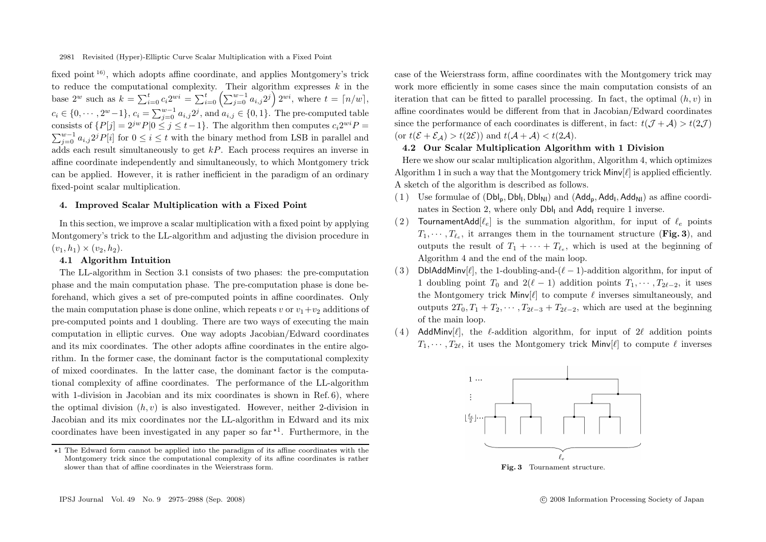fixed point  $16$ ), which adopts affine coordinate, and applies Montgomery's trick to reduce the computational complexity. Their algorithm expresses  $k$  in the base 2<sup>w</sup> such as  $k = \sum_{i=0}^{t} c_i 2^{wi} = \sum_{i=0}^{t} \left( \sum_{j=0}^{w-1} a_{i,j} 2^j \right) 2^{wi}$ , where  $t = \lceil n/w \rceil$ ,  $c_i \in \{0, \dots, 2^w-1\}, c_i = \sum_{j=0}^{w-1} a_{i,j} 2^j$ , and  $a_{i,j} \in \{0, 1\}.$  The pre-computed table consists of  $\{P[j]=2^{jw}P|0\leq j\leq t-1\}$ . The algorithm then computes  $c_i2^{wi}P=$  $\sum_{j=0}^{w-1} a_{i,j} 2^j P[i]$  for  $0 \le i \le t$  with the binary method from LSB in parallel and adds each result simultaneously to get kP. Each process requires an inverse in affine coordinate independently and simultaneously, to which Montgomery trick can be applied. However, it is rather inefficient in the paradigm of an ordinary fixed-point scalar multiplication.

# **4. Improved Scalar Multiplication with a Fixed Point**

In this section, we improve a scalar multiplication with a fixed point by applying Montgomery's trick to the LL-algorithm and adjusting the division procedure in  $(v_1, h_1) \times (v_2, h_2).$ 

#### **4.1 Algorithm Intuition**

The LL-algorithm in Section 3.1 consists of two phases: the pre-computation phase and the main computation phase. The pre-computation phase is done beforehand, which gives a set of pre-computed points in affine coordinates. Only the main computation phase is done online, which repeats v or  $v_1+v_2$  additions of pre-computed points and 1 doubling. There are two ways of executing the main computation in elliptic curves. One way adopts Jacobian/Edward coordinates and its mix coordinates. The other adopts affine coordinates in the entire algorithm. In the former case, the dominant factor is the computational complexity of mixed coordinates. In the latter case, the dominant factor is the computational complexity of affine coordinates. The performance of the LL-algorithm with 1-division in Jacobian and its mix coordinates is shown in Ref. 6), where the optimal division  $(h, v)$  is also investigated. However, neither 2-division in Jacobian and its mix coordinates nor the LL-algorithm in Edward and its mix coordinates have been investigated in any paper so  $far<sup>*1</sup>$ . Furthermore, in the

case of the Weierstrass form, affine coordinates with the Montgomery trick may work more efficiently in some cases since the main computation consists of an iteration that can be fitted to parallel processing. In fact, the optimal  $(h, v)$  in affine coordinates would be different from that in Jacobian/Edward coordinates since the performance of each coordinates is different, in fact:  $t(\mathcal{J} + \mathcal{A}) > t(2\mathcal{J})$ (or  $t(\mathcal{E} + \mathcal{E}_A) > t(2\mathcal{E})$ ) and  $t(\mathcal{A} + \mathcal{A}) < t(2\mathcal{A})$ .

# **4.2 Our Scalar Multiplication Algorithm with 1 Division**

Here we show our scalar multiplication algorithm, Algorithm 4, which optimizes Algorithm 1 in such a way that the Montgomery trick  $\text{Minv}[\ell]$  is applied efficiently. A sketch of the algorithm is described as follows.

- (1) Use formulae of  $(DbI_p, DbI_l, DbI_{N1})$  and  $(Add_p, Add_l, Add_{N1})$  as affine coordinates in Section 2, where only Dbl<sub>L</sub> and Add<sub>L</sub> require 1 inverse.
- (2) TournamentAdd $[\ell_e]$  is the summation algorithm, for input of  $\ell_e$  points  $T_1, \dots, T_{\ell_e}$ , it arranges them in the tournament structure (Fig. 3), and outputs the result of  $T_1 + \cdots + T_{\ell_e}$ , which is used at the beginning of Algorithm 4 and the end of the main loop.
- (3) DblAddMinv[ $\ell$ ], the 1-doubling-and- $(\ell 1)$ -addition algorithm, for input of 1 doubling point  $T_0$  and  $2(\ell - 1)$  addition points  $T_1, \dots, T_{2\ell-2}$ , it uses the Montgomery trick  $\text{Minv}[\ell]$  to compute  $\ell$  inverses simultaneously, and outputs  $2T_0, T_1 + T_2, \cdots, T_{2\ell-3} + T_{2\ell-2}$ , which are used at the beginning of the main loop.
- (4) AddMinv[ $\ell$ ], the  $\ell$ -addition algorithm, for input of 2 $\ell$  addition points  $T_1, \dots, T_{2\ell}$ , it uses the Montgomery trick Minv $[\ell]$  to compute  $\ell$  inverses



<sup>-</sup>1 The Edward form cannot be applied into the paradigm of its affine coordinates with the Montgomery trick since the computational complexity of its affine coordinates is rather slower than that of affine coordinates in the Weierstrass form.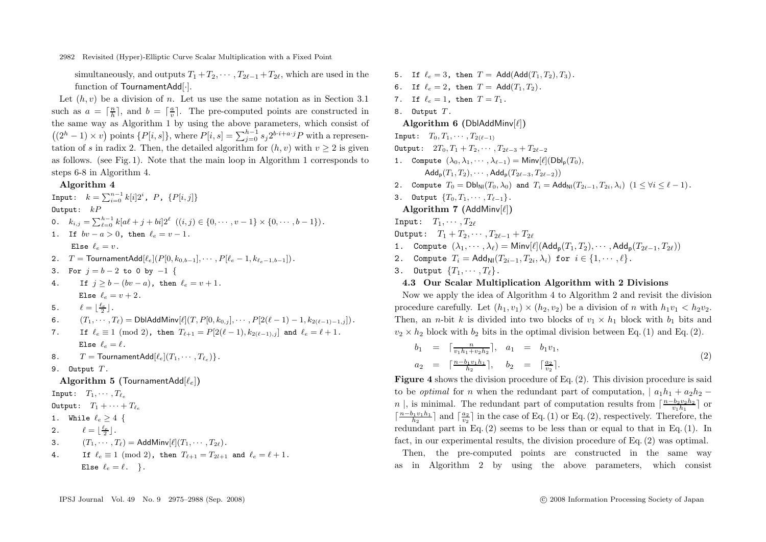simultaneously, and outputs  $T_1 + T_2, \cdots, T_{2\ell-1} + T_{2\ell}$ , which are used in the function of TournamentAdd[·].

Let  $(h, v)$  be a division of n. Let us use the same notation as in Section 3.1 such as  $a = \lceil \frac{n}{h} \rceil$ , and  $b = \lceil \frac{a}{v} \rceil$ . The pre-computed points are constructed in the same way as Algorithm 1 by using the above parameters, which consist of  $((2<sup>h</sup> - 1) \times v)$  points  $\{P[i, s]\},$  where  $P[i, s] = \sum_{j=0}^{h-1} s_j 2^{b \cdot i + a \cdot j} P$  with a representation of s in radix 2. Then, the detailed algorithm for  $(h, v)$  with  $v > 2$  is given as follows. (see Fig. 1). Note that the main loop in Algorithm 1 corresponds to steps 6-8 in Algorithm 4.

# **Algorithm 4**

Input:  $k = \sum_{i=0}^{n-1} k[i]2^i$ , P,  $\{P[i,j]\}$ Output:  $kP$ 0.  $k_{i,j} = \sum_{\ell=0}^{h-1} k[a\ell + j + bi]2^{\ell} \quad ((i,j) \in \{0, \cdots, v-1\} \times \{0, \cdots, b-1\}).$ 1. If  $bv - a > 0$ , then  $\ell_e = v - 1$ . Else  $\ell_e = v$ . 2.  $T = \text{TournamentAdd}[\ell_e](P[0, k_{0,b-1}], \cdots, P[\ell_e-1, k_{\ell_e-1,b-1}]).$ 3. For  $j = b - 2$  to 0 by  $-1$  { 4. If  $j > b - (bv - a)$ , then  $\ell_e = v + 1$ . Else  $\ell_e = v + 2$ . 5.  $\ell = \lfloor \frac{\ell_e}{2} \rfloor$ . 6.  $(T_1, \dots, T_\ell) = \text{DblAddMinv}[\ell](T, P[0, k_{0,j}], \dots, P[2(\ell-1)-1, k_{2(\ell-1)-1,j}]).$ 7. If  $\ell_e \equiv 1 \pmod{2}$ , then  $T_{\ell+1} = P[2(\ell-1), k_{2(\ell-1)}, j]$  and  $\ell_e = \ell+1$ . Else  $\ell_e = \ell$ . 8.  $T = \text{TournamentAdd}[\ell_e](T_1, \cdots, T_{\ell_n})\}.$ 9. Output T. **Algorithm 5 (TournamentAdd** $[\ell_e]$ ) Input:  $T_1, \cdots, T_{\ell_r}$ 

- Output:  $T_1 + \cdots + T_{\ell_e}$
- 1. While  $\ell_e > 4$  {
- 2.  $\ell = \lfloor \frac{\ell_e}{2} \rfloor$ .
- 3.  $(T_1, \cdots, T_\ell) = \text{AddMin}(I | T_1, \cdots, T_{2\ell}).$
- 4. If  $\ell_e \equiv 1 \pmod{2}$ , then  $T_{\ell+1} = T_{2l+1}$  and  $\ell_e = \ell + 1$ . Else  $\ell_e = \ell$ . }.

5. If  $\ell_e = 3$ , then  $T = \text{Add}(\text{Add}(T_1, T_2), T_3)$ . 6. If  $\ell_e = 2$ , then  $T = \text{Add}(T_1, T_2)$ . 7. If  $\ell_e = 1$ , then  $T = T_1$ . 8. Output T. **Algorithm 6 (DblAddMinv[** $\ell$ **])** Input:  $T_0, T_1, \cdots, T_{2(\ell-1)}$  $0$ utput:  $2T_0, T_1 + T_2, \cdots, T_{2\ell-3} + T_{2\ell-2}$ 1. Compute  $(\lambda_0, \lambda_1, \cdots, \lambda_{\ell-1}) =$  Minv $[\ell](\mathrm{Dbl}_p(T_0)),$ Addp(T1, T2), ··· , Addp(T2*−*<sup>3</sup>, T2*−*<sup>2</sup>)) 2. Compute  $T_0 = Dbl_{\text{N1}}(T_0, \lambda_0)$  and  $T_i = \text{Add}_{\text{N1}}(T_{2i-1}, T_{2i}, \lambda_i)$   $(1 \leq \forall i \leq \ell-1)$ . 3. Output  ${T_0, T_1, \cdots, T_{\ell-1}}$ . Algorithm 7 (AddMinv $[\ell]$ ) Input:  $T_1, \cdots, T_{2\ell}$ Output:  $T_1 + T_2, \cdots, T_{2\ell-1} + T_{2\ell}$ 1. Compute  $(\lambda_1, \dots, \lambda_\ell) = \text{Minv}[\ell](\text{Add}_p(T_1, T_2), \dots, \text{Add}_p(T_{2\ell-1}, T_{2\ell}))$ 2. Compute  $T_i = \text{Add}_{\text{NI}}(T_{2i-1}, T_{2i}, \lambda_i)$  for  $i \in \{1, \dots, \ell\}$ . 3. Output  $\{T_1, \cdots, T_\ell\}$ .

# **4.3 Our Scalar Multiplication Algorithm with 2 Divisions**

Now we apply the idea of Algorithm 4 to Algorithm 2 and revisit the division procedure carefully. Let  $(h_1, v_1) \times (h_2, v_2)$  be a division of n with  $h_1v_1 < h_2v_2$ . Then, an *n*-bit k is divided into two blocks of  $v_1 \times h_1$  block with  $b_1$  bits and  $v_2 \times h_2$  block with  $b_2$  bits in the optimal division between Eq. (1) and Eq. (2).

$$
b_1 = \lceil \frac{n}{v_1 h_1 + v_2 h_2} \rceil, \quad a_1 = b_1 v_1,
$$
  
\n
$$
a_2 = \lceil \frac{n - b_1 v_1 h_1}{h_2} \rceil, \quad b_2 = \lceil \frac{a_2}{v_2} \rceil.
$$
\n(2)

**Figure 4** shows the division procedure of Eq. (2). This division procedure is said to be *optimal* for n when the redundant part of computation,  $| a_1 h_1 + a_2 h_2$ n |, is minimal. The redundant part of computation results from  $\lceil \frac{n-b_2v_2h_2}{v_1h_1} \rceil$  or  $\lceil \frac{n-b_1v_1h_1}{h_2} \rceil$  and  $\lceil \frac{a_2}{v_2} \rceil$  in the case of Eq. (1) or Eq. (2), respectively. Therefore, the redundant part in Eq.  $(2)$  seems to be less than or equal to that in Eq.  $(1)$ . In fact, in our experimental results, the division procedure of Eq. (2) was optimal.

Then, the pre-computed points are constructed in the same way as in Algorithm 2 by using the above parameters, which consist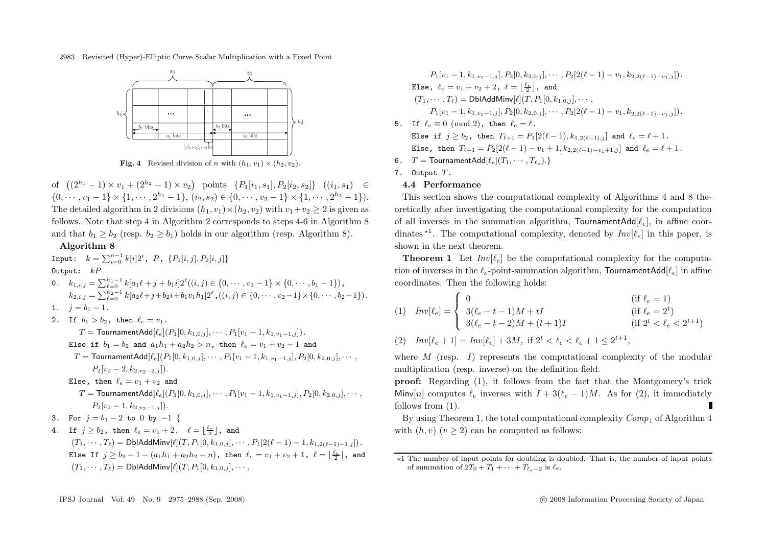

**Fig. 4** Revised division of n with  $(h_1, v_1) \times (h_2, v_2)$ .

of  $((2^{h_1}-1) \times v_1 + (2^{h_2}-1) \times v_2)$  points  $\{P_1[i_1, s_1], P_2[i_2, s_2]\}$   $((i_1, s_1)$  ∈  $\{0, \dots, v_1 - 1\} \times \{1, \dots, 2^{h_1} - 1\}, (i_2, s_2) \in \{0, \dots, v_2 - 1\} \times \{1, \dots, 2^{h_2} - 1\}).$ The detailed algorithm in 2 divisions  $(h_1, v_1) \times (h_2, v_2)$  with  $v_1 + v_2 \geq 2$  is given as follows. Note that step 4 in Algorithm 2 corresponds to steps 4-6 in Algorithm 8 and that  $b_1 \geq b_2$  (resp.  $b_2 \geq b_1$ ) holds in our algorithm (resp. Algorithm 8).

# **Algorithm 8**

Input:  $k = \sum_{i=0}^{n-1} k[i]2^i$ ,  $P$ ,  $\{P_1[i,j], P_2[i,j]\}$ Output:  $kP$ 

0. 
$$
k_{1,i,j} = \sum_{\ell=0}^{h_1-1} k[a_1\ell + j + b_1i]2^{\ell}((i,j) \in \{0, \cdots, v_1-1\} \times \{0, \cdots, b_1-1\}),
$$
  
\n $k_{2,i,j} = \sum_{\ell=0}^{h_2-1} k[a_2\ell + j + b_2i + b_1v_1h_1]2^{\ell}, ((i,j) \in \{0, \cdots, v_2-1\} \times \{0, \cdots, b_2-1\}).$   
\n1.  $j = b_1 - 1$ .

2. If  $b_1 > b_2$ , then  $\ell_e = v_1$ .

 $T =$ TournamentAdd[ $\ell_e$ ] $(P_1[0, k_{1,0,i}], \cdots, P_1[v_1-1, k_{1,v_1-1,i}]).$ Else if  $b_1 = b_2$  and  $a_1h_1 + a_2h_2 > n$ , then  $\ell_e = v_1 + v_2 - 1$  and T = TournamentAdd[ $\ell_e$ ] $(P_1[0, k_{1,0,i}], \cdots, P_1[v_1-1, k_{1,v_1-1,j}], P_2[0, k_{2,0,j}], \cdots$ ,  $P_2[v_2 - 2, k_{2y_2-2,j}]$ . Else, then  $\ell_e = v_1 + v_2$  and  $T =$  TournamentAdd[ $\ell_e$ ] $(P_1[0, k_{1,0,i}], \cdots, P_1[v_1-1, k_{1,n_1-1,i}], P_2[0, k_{2,0,i}], \cdots$  $P_2[v_2-1, k_{2,v_2-1,j}]).$ 3. For  $j = b_1 - 2$  to 0 by  $-1$  { 4. If  $j \geq b_2$ , then  $\ell_e = v_1 + 2$ .  $\ell = \lfloor \frac{\ell_e}{2} \rfloor$ , and  $(T_1, \cdots, T_\ell) = \text{DblAddMinv}[\ell](T, P_1[0, k_{1,0,i}], \cdots, P_1[2(\ell-1)-1, k_{1,2(\ell-1)-1,i}]).$ Else If  $j \ge b_2 - 1 - (a_1h_1 + a_2h_2 - n)$ , then  $\ell_e = v_1 + v_2 + 1$ ,  $\ell = \lfloor \frac{\ell_e}{2} \rfloor$ , and  $(T_1, \cdots, T_\ell) = \text{DblAddMinv}[\ell](T, P_1[0, k_{1,0,i}], \cdots,$ 

 $P_1[v_1 - 1, k_{1, v_1 - 1, j}]$ ,  $P_2[0, k_{2, 0, j}]$ ,  $\dots$ ,  $P_2[2(\ell - 1) - v_1, k_{2, 2(\ell - 1) - v_1, j}]$ . Else,  $\ell_e = v_1 + v_2 + 2$ ,  $\ell = \lfloor \frac{\ell_e}{2} \rfloor$ , and  $(T_1, \dots, T_\ell) = \text{DblAddMin}(I[T, P_1[0, k_{1,0,i}], \dots, T_\ell])$  $P_1[v_1 - 1, k_{1,v_1-1,j}], P_2[0, k_{2,0,j}], \cdots, P_2[2(\ell-1) - v_1, k_{2,2(\ell-1)-v_1,j}]).$ 5. If  $\ell_e \equiv 0 \pmod{2}$ , then  $\ell_e = \ell$ . Else if  $j \ge b_2$ , then  $T_{\ell+1} = P_1[2(\ell-1), k_{1,2(\ell-1),j}]$  and  $\ell_e = \ell+1$ . Else, then  $T_{\ell+1} = P_2[2(\ell-1) - v_1 + 1, k_2|_{2(\ell-1)-\nu_1+1,j}]$  and  $\ell_e = \ell+1$ . 6.  $T = \text{TournamentAdd}[\ell_e](T_1, \cdots, T_{\ell_e}).$ 

- 7. Output T.
- **4.4 Performance**

This section shows the computational complexity of Algorithms 4 and 8 theoretically after investigating the computational complexity for the computation of all inverses in the summation algorithm, TournamentAdd $[\ell_e]$ , in affine coordinates  $\star^1$ . The computational complexity, denoted by  $Inv[\ell_e]$  in this paper, is chown in the next theorem. shown in the next theorem.

**Theorem 1** Let  $Inv[\ell_e]$  be the computational complexity for the computation of inverses in the  $\ell_e$ -point-summation algorithm, TournamentAdd $[\ell_e]$  in affine coordinates. Then the following holds:

(1) 
$$
Inv[\ell_e] = \begin{cases} 0 & (\text{if } \ell_e = 1) \\ 3(\ell_e - t - 1)M + tI & (\text{if } \ell_e = 2^t) \\ 3(\ell_e - t - 2)M + (t + 1)I & (\text{if } 2^t < \ell_e < 2^{t+1}) \end{cases}
$$

(2) 
$$
Inv[\ell_e + 1] = Inv[\ell_e] + 3M, \text{ if } 2^t < \ell_e < \ell_e + 1 \leq 2^{t+1},
$$

where  $M$  (resp. I) represents the computational complexity of the modular multiplication (resp. inverse) on the definition field.

**proof:** Regarding (1), it follows from the fact that the Montgomery's trick Minv[n] computes  $\ell_e$  inverses with  $I + 3(\ell_e - 1)M$ . As for (2), it immediately follows from  $(1)$ .

By using Theorem 1, the total computational complexity  $Comp_1$  of Algorithm 4 with  $(h, v)$   $(v \geq 2)$  can be computed as follows:

<sup>\*1</sup> The number of input points for doubling is doubled. That is, the number of input points of summation of  $2T_0 + T_1 + \cdots + T_{\ell_e-2}$  is  $\ell_e$ .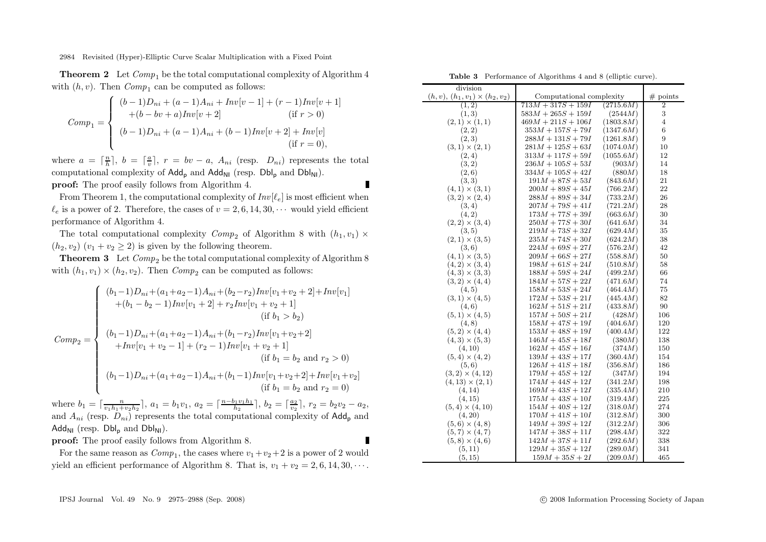**Theorem 2** Let  $Comp_1$  be the total computational complexity of Algorithm 4 with  $(h, v)$ . Then  $Comp_1$  can be computed as follows:

$$
Comp_1 = \begin{cases} (b-1)D_{ni} + (a-1)A_{ni} + Inv[v-1] + (r-1)Inv[v+1] \\ +(b - bv + a)Inv[v+2] & (if r > 0) \\ (b-1)D_{ni} + (a-1)A_{ni} + (b-1)Inv[v+2] + Inv[v] \\ & (if r = 0), \end{cases}
$$

where  $a = \lceil \frac{n}{h} \rceil$ ,  $b = \lceil \frac{a}{v} \rceil$ ,  $r = bv - a$ ,  $A_{ni}$  (resp.  $D_{ni}$ ) represents the total computational complexity of  $\mathsf{Add}_{p}$  and  $\mathsf{Add}_{N1}$  (resp.  $\mathsf{Dbl}_{p}$  and  $\mathsf{Dbl}_{N1}$ ).

**proof:** The proof easily follows from Algorithm 4.

From Theorem 1, the computational complexity of  $Inv[\ell_e]$  is most efficient when  $\ell_e$  is a power of 2. Therefore, the cases of  $v = 2, 6, 14, 30, \cdots$  would yield efficient performance of Algorithm 4.

The total computational complexity  $Comp_2$  of Algorithm 8 with  $(h_1, v_1)$  ×  $(h_2, v_2)$   $(v_1 + v_2 \geq 2)$  is given by the following theorem.

**Theorem 3** Let  $Comp_2$  be the total computational complexity of Algorithm 8 with  $(h_1, v_1) \times (h_2, v_2)$ . Then *Comp*<sub>2</sub> can be computed as follows:

$$
Comp_{2} = \begin{cases} (b_{1}-1)D_{ni} + (a_{1}+a_{2}-1)A_{ni} + (b_{2}-r_{2})Inv[v_{1}+v_{2}+2]+Inv[v_{1}] \\ +(b_{1}-b_{2}-1)Inv[v_{1}+2]+r_{2}Inv[v_{1}+v_{2}+1] \\ (if b_{1} > b_{2}) \\ (b_{1}-1)D_{ni} + (a_{1}+a_{2}-1)A_{ni} + (b_{1}-r_{2})Inv[v_{1}+v_{2}+2] \\ +Inv[v_{1}+v_{2}-1] + (r_{2}-1)Inv[v_{1}+v_{2}+1] \\ (if b_{1} = b_{2} \text{ and } r_{2} > 0) \\ (b_{1}-1)D_{ni} + (a_{1}+a_{2}-1)A_{ni} + (b_{1}-1)Inv[v_{1}+v_{2}+2] + Inv[v_{1}+v_{2}] \\ (if b_{1} = b_{2} \text{ and } r_{2} = 0) \end{cases}
$$

where  $b_1 = \lceil \frac{n}{v_1h_1 + v_2h_2} \rceil$ ,  $a_1 = b_1v_1$ ,  $a_2 = \lceil \frac{n-b_1v_1h_1}{h_2} \rceil$ ,  $b_2 = \lceil \frac{a_2}{v_2} \rceil$ ,  $r_2 = b_2v_2 - a_2$ , and  $A_{ni}$  (resp.  $D_{ni}$ ) represents the total computational complexity of Add<sub>p</sub> and  $\mathsf{Add}_{\mathsf{NI}}$  (resp.  $\mathsf{Dbl}_{\mathsf{D}}$  and  $\mathsf{Dbl}_{\mathsf{NI}}$ ).

 $\overline{\phantom{a}}$ 

**proof:** The proof easily follows from Algorithm 8.

For the same reason as  $Comp_1$ , the cases where  $v_1+v_2+2$  is a power of 2 would yield an efficient performance of Algorithm 8. That is,  $v_1 + v_2 = 2, 6, 14, 30, \cdots$ .

**Table 3** Performance of Algorithms 4 and 8 (elliptic curve).

| division                               |                          |           |            |
|----------------------------------------|--------------------------|-----------|------------|
| $(h, v), (h_1, v_1) \times (h_2, v_2)$ | Computational complexity |           | $#$ points |
| (1, 2)                                 | $713M + 317S + 159I$     | (2715.6M) | 2          |
| (1, 3)                                 | $583M + 265S + 159I$     | (2544M)   | 3          |
| $(2,1) \times (1,1)$                   | $469M + 211S + 106I$     | (1803.8M) | 4          |
| (2, 2)                                 | $353M + 157S + 79I$      | (1347.6M) | 6          |
| (2, 3)                                 | $288M + 131S + 79I$      | (1261.8M) | 9          |
| $(3,1) \times (2,1)$                   | $281M + 125S + 63I$      | (1074.0M) | 10         |
| (2,4)                                  | $313M + 117S + 59I$      | (1055.6M) | 12         |
| (3,2)                                  | $236M + 105S + 53I$      | (903M)    | 14         |
| (2,6)                                  | $334M + 105S + 42I$      | (880M)    | 18         |
| (3, 3)                                 | $191M + 87S + 53I$       | (843.6M)  | 21         |
| $(4,1) \times (3,1)$                   | $200M + 89S + 45I$       | (766.2M)  | 22         |
| $(3,2) \times (2,4)$                   | $288M + 89S + 34I$       | (733.2M)  | 26         |
| (3,4)                                  | $207M + 79S + 41I$       | (721.2M)  | 28         |
| (4, 2)                                 | $173M + 77S + 39I$       | (663.6M)  | 30         |
| $(2,2) \times (3,4)$                   | $250M + 77S + 30I$       | (641.6M)  | 34         |
| (3, 5)                                 | $219M + 73S + 32I$       | (629.4M)  | 35         |
| $(2,1) \times (3,5)$                   | $235M + 74S + 30I$       | (624.2M)  | 38         |
| (3,6)                                  | $224M + 69S + 27I$       | (576.2M)  | 42         |
| $(4,1) \times (3,5)$                   | $209M + 66S + 27I$       | (558.8M)  | 50         |
| $(4,2) \times (3,4)$                   | $198M + 61S + 24I$       | (510.8M)  | 58         |
| $(4,3) \times (3,3)$                   | $188M + 59S + 24I$       | (499.2M)  | 66         |
| $(3,2) \times (4,4)$                   | $184M + 57S + 22I$       | (471.6M)  | 74         |
| (4, 5)                                 | $158M + 53S + 24I$       | (464.4M)  | 75         |
| $(3,1) \times (4,5)$                   | $172M + 53S + 21I$       | (445.4M)  | 82         |
| (4, 6)                                 | $162M + 51S + 21I$       | (433.8M)  | 90         |
| $(5,1) \times (4,5)$                   | $157M + 50S + 21I$       | (428M)    | 106        |
| (4, 8)                                 | $158M + 47S + 19I$       | (404.6M)  | 120        |
| $(5,2) \times (4,4)$                   | $153M + 48S + 19I$       | (400.4M)  | 122        |
| $(4,3) \times (5,3)$                   | $146M + 45S + 18I$       | (380M)    | 138        |
| (4, 10)                                | $162M + 45S + 16I$       | (374M)    | 150        |
| $(5,4) \times (4,2)$                   | $139M + 43S + 17I$       | (360.4M)  | 154        |
| (5,6)                                  | $126M + 41S + 18I$       | (356.8M)  | 186        |
| $(3,2) \times (4,12)$                  | $179M + 45S + 12I$       | (347M)    | 194        |
| $(4, 13) \times (2, 1)$                | $174M + 44S + 12I$       | (341.2M)  | 198        |
| (4, 14)                                | $169M + 43S + 12I$       | (335.4M)  | 210        |
| (4, 15)                                | $175M + 43S + 10I$       | (319.4M)  | 225        |
| $(5,4) \times (4,10)$                  | $154M + 40S + 12I$       | (318.0M)  | 274        |
| (4, 20)                                | $170M + 41S + 10I$       | (312.8M)  | 300        |
| $(5,6) \times (4,8)$                   | $149M + 39S + 12I$       | (312.2M)  | 306        |
| $(5,7) \times (4,7)$                   | $147M + 38S + 11I$       | (298.4M)  | 322        |
| $(5,8) \times (4,6)$                   | $142M + 37S + 11I$       | (292.6M)  | 338        |
| (5, 11)                                | $129M + 35S + 12I$       | (289.0M)  | 341        |
| (5, 15)                                | $159M + 35S + 2I$        | (209.0M)  | 465        |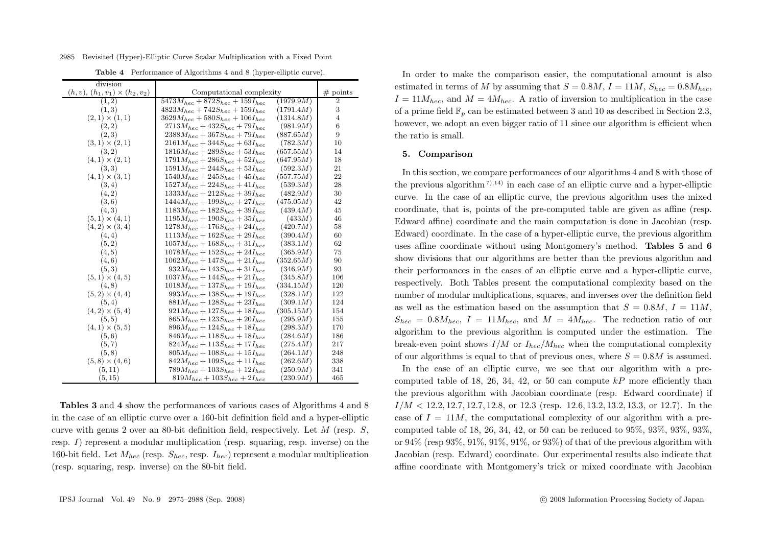2985 Revisited (Hyper)-Elliptic Curve Scalar Multiplication with a Fixed Point

| division                               |                                         |           |                  |
|----------------------------------------|-----------------------------------------|-----------|------------------|
| $(h, v), (h_1, v_1) \times (h_2, v_2)$ | Computational complexity                |           | # points         |
| (1, 2)                                 | $5473M_{hec} + 872S_{hec} + 159I_{hec}$ | (1979.9M) | $\boldsymbol{2}$ |
| (1,3)                                  | $4823M_{hec} + 742S_{hec} + 159I_{hec}$ | (1791.4M) | 3                |
| $(2,1) \times (1,1)$                   | $3629M_{hec} + 580S_{hec} + 106I_{hec}$ | (1314.8M) | 4                |
| (2, 2)                                 | $2713M_{hec} + 432S_{hec} + 79I_{hec}$  | (981.9M)  | 6                |
| (2,3)                                  | $2388M_{hec} + 367S_{hec} + 79I_{hec}$  | (887.65M) | 9                |
| $(3,1) \times (2,1)$                   | $2161M_{hec} + 344S_{hec} + 63I_{hec}$  | (782.3M)  | 10               |
| (3,2)                                  | $1816M_{hec} + 289S_{hec} + 53I_{hec}$  | (657.55M) | 14               |
| $(4,1) \times (2,1)$                   | $1791M_{hec} + 286S_{hec} + 52I_{hec}$  | (647.95M) | 18               |
| (3, 3)                                 | $1591M_{hec} + 244S_{hec} + 53I_{hec}$  | (592.3M)  | 21               |
| $(4,1) \times (3,1)$                   | $1540M_{hec} + 245S_{hec} + 45I_{hec}$  | (557.75M) | 22               |
| (3, 4)                                 | $1527M_{hec} + 224S_{hec} + 41I_{hec}$  | (539.3M)  | 28               |
| (4, 2)                                 | $1333M_{hec} + 212S_{hec} + 39I_{hec}$  | (482.9M)  | 30               |
| (3,6)                                  | $1444M_{hec} + 199S_{hec} + 27I_{hec}$  | (475.05M) | 42               |
| (4,3)                                  | $1183M_{hec} + 182S_{hec} + 39I_{hec}$  | (439.4M)  | 45               |
| $(5,1) \times (4,1)$                   | $1195M_{hec} + 190S_{hec} + 35I_{hec}$  | (433M)    | 46               |
| $(4,2) \times (3,4)$                   | $1278M_{hec} + 176S_{hec} + 24I_{hec}$  | (420.7M)  | 58               |
| (4, 4)                                 | $1113M_{hec} + 162S_{hec} + 29I_{hec}$  | (390.4M)  | 60               |
| (5, 2)                                 | $1057M_{hec} + 168S_{hec} + 31I_{hec}$  | (383.1M)  | 62               |
| (4, 5)                                 | $1078M_{hec} + 152S_{hec} + 24I_{hec}$  | (365.9M)  | 75               |
| (4, 6)                                 | $1062M_{hec} + 147S_{hec} + 21I_{hec}$  | (352.65M) | 90               |
| (5,3)                                  | $932M_{hec} + 143S_{hec} + 31I_{hec}$   | (346.9M)  | 93               |
| $(5,1) \times (4,5)$                   | $1037M_{hec} + 144S_{hec} + 21I_{hec}$  | (345.8M)  | 106              |
| (4, 8)                                 | $1018M_{hec} + 137S_{hec} + 19I_{hec}$  | (334.15M) | 120              |
| $(5,2) \times (4,4)$                   | $993M_{hec} + 138S_{hec} + 19I_{hec}$   | (328.1M)  | 122              |
| (5, 4)                                 | $881M_{hec} + 128S_{hec} + 23I_{hec}$   | (309.1M)  | 124              |
| $(4,2) \times (5,4)$                   | $921M_{hec} + 127S_{hec} + 18I_{hec}$   | (305.15M) | 154              |
| (5, 5)                                 | $865M_{hec} + 123S_{hec} + 20I_{hec}$   | (295.9M)  | 155              |
| $(4,1) \times (5,5)$                   | $896M_{hec} + 124S_{hec} + 18I_{hec}$   | (298.3M)  | 170              |
| (5, 6)                                 | $846M_{hec} + 118S_{hec} + 18I_{hec}$   | (284.6M)  | 186              |
| (5, 7)                                 | $824M_{hec} + 113S_{hec} + 17I_{hec}$   | (275.4M)  | 217              |
| (5, 8)                                 | $805M_{hec} + 108S_{hec} + 15I_{hec}$   | (264.1M)  | 248              |
| $(5,8) \times (4,6)$                   | $842M_{hec} + 109S_{hec} + 11I_{hec}$   | (262.6M)  | 338              |
| (5, 11)                                | $789M_{hec} + 103S_{hec} + 12I_{hec}$   | (250.9M)  | 341              |
| (5, 15)                                | $819M_{hec} + 103S_{hec} + 2I_{hec}$    | (230.9M)  | 465              |

**Table 4** Performance of Algorithms 4 and 8 (hyper-elliptic curve).

**Tables 3** and **4** show the performances of various cases of Algorithms 4 and 8 in the case of an elliptic curve over a 160-bit definition field and a hyper-elliptic curve with genus 2 over an 80-bit definition field, respectively. Let  $M$  (resp.  $S$ , resp. I) represent a modular multiplication (resp. squaring, resp. inverse) on the 160-bit field. Let  $M_{hec}$  (resp.  $S_{hec}$ , resp.  $I_{hec}$ ) represent a modular multiplication (resp. squaring, resp. inverse) on the 80-bit field.

In order to make the comparison easier, the computational amount is also estimated in terms of M by assuming that  $S = 0.8M$ ,  $I = 11M$ ,  $S_{here} = 0.8M_{here}$  $I = 11M_{hec}$ , and  $M = 4M_{hec}$ . A ratio of inversion to multiplication in the case of a prime field  $\mathbb{F}_n$  can be estimated between 3 and 10 as described in Section 2.3, however, we adopt an even bigger ratio of 11 since our algorithm is efficient when the ratio is small.

#### **5. Comparison**

In this section, we compare performances of our algorithms 4 and 8 with those of the previous algorithm<sup>7),14)</sup> in each case of an elliptic curve and a hyper-elliptic curve. In the case of an elliptic curve, the previous algorithm uses the mixed coordinate, that is, points of the pre-computed table are given as affine (resp. Edward affine) coordinate and the main computation is done in Jacobian (resp. Edward) coordinate. In the case of a hyper-elliptic curve, the previous algorithm uses affine coordinate without using Montgomery's method. **Tables 5** and **6** show divisions that our algorithms are better than the previous algorithm and their performances in the cases of an elliptic curve and a hyper-elliptic curve, respectively. Both Tables present the computational complexity based on the number of modular multiplications, squares, and inverses over the definition field as well as the estimation based on the assumption that  $S = 0.8M, I = 11M$ ,  $S_{hec} = 0.8M_{hec}, I = 11M_{hec}$ , and  $M = 4M_{hec}$ . The reduction ratio of our algorithm to the previous algorithm is computed under the estimation. The break-even point shows  $I/M$  or  $I_{hec}/M_{hec}$  when the computational complexity of our algorithms is equal to that of previous ones, where  $S = 0.8M$  is assumed.

In the case of an elliptic curve, we see that our algorithm with a precomputed table of 18, 26, 34, 42, or 50 can compute  $kP$  more efficiently than the previous algorithm with Jacobian coordinate (resp. Edward coordinate) if  $I/M < 12.2, 12.7, 12.7, 12.8$ , or  $12.3$  (resp. 12.6, 13.2, 13.2, 13.3, or 12.7). In the case of  $I = 11M$ , the computational complexity of our algorithm with a precomputed table of 18, 26, 34, 42, or 50 can be reduced to 95%, 93%, 93%, 93%, or  $94\%$  (resp  $93\%, 91\%, 91\%, 91\%,$  or  $93\%$ ) of that of the previous algorithm with Jacobian (resp. Edward) coordinate. Our experimental results also indicate that affine coordinate with Montgomery's trick or mixed coordinate with Jacobian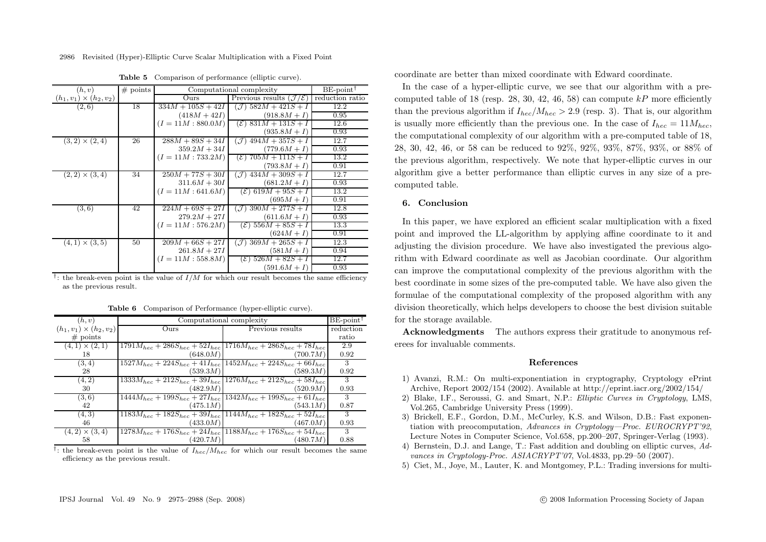| (h, v)                         | # points | Computational complexity |                                                        | $BE$ -point <sup>1</sup> |
|--------------------------------|----------|--------------------------|--------------------------------------------------------|--------------------------|
| $(h_1, v_1) \times (h_2, v_2)$ |          | Ours                     | Previous results $(\mathcal{J}/\mathcal{E})$           | reduction ratio          |
| (2,6)                          | 18       | $334M + 105S + 42I$      | $(\mathcal{J}) 582M + 421S + I$                        | 12.2                     |
|                                |          | $(418M + 42I)$           | $(918.8M+I)$                                           | 0.95                     |
|                                |          | $(I = 11M : 880.0M)$     | $(\mathcal{E})$ 831 <i>M</i> + 131 <i>S</i> + <i>I</i> | 12.6                     |
|                                |          |                          | $(935.8M + I)$                                         | 0.93                     |
| $(3,2) \times (2,4)$           | 26       | $288M + 89S + 34I$       | $494M + 357S + I$<br>$\mathcal{J}$                     | 12.7                     |
|                                |          | $359.2M + 34I$           | $(779.6M + I)$                                         | 0.93                     |
|                                |          | $(I = 11M : 733.2M)$     | $(\mathcal{E})$ 705 $M + 111S + I$                     | 13.2                     |
|                                |          |                          | $(793.8M+I)$                                           | 0.91                     |
| $(2,2) \times (3,4)$           | 34       | $250M + 77S + 30I$       | $({\cal J})$ 434 $M + 309S + I$                        | 12.7                     |
|                                |          | $311.6M + 30I$           | $(681.2M+I)$                                           | 0.93                     |
|                                |          | $(I = 11M : 641.6M)$     | $(\mathcal{E})$ 619 $M + 95S + I$                      | 13.2                     |
|                                |          |                          | $(695M + I)$                                           | 0.91                     |
| (3,6)                          | 42       | $224M + 69S + 27I$       | $(\mathcal{J})$ 390 $M + 277S + I$                     | 12.8                     |
|                                |          | $279.2M + 27I$           | $(611.6M + I)$                                         | 0.93                     |
|                                |          | $(I = 11M : 576.2M)$     | $(\mathcal{E})$ 556 $M + 85S + I$                      | 13.3                     |
|                                |          |                          | $(624M + I)$                                           | 0.91                     |
| $(4,1) \times (3,5)$           | 50       | $209M + 66S + 27I$       | $(\mathcal{J})$ 369 $M + 265S + I$                     | 12.3                     |
|                                |          | $261.8M + 27I$           | $(581M + I)$                                           | 0.94                     |
|                                |          | $(I = 11M : 558.8M)$     | $(\mathcal{E})$ 526M + 82S + I                         | 12.7                     |
|                                |          |                          | $(591.6M + I)$                                         | 0.93                     |

**Table 5** Comparison of performance (elliptic curve).

<sup>†</sup>: the break-even point is the value of  $I/M$  for which our result becomes the same efficiency as the previous result.

| (h, v)                         |          | Computational complexity                                                        | $BE$ -point <sup><math>\uparrow</math></sup> |
|--------------------------------|----------|---------------------------------------------------------------------------------|----------------------------------------------|
| $(h_1, v_1) \times (h_2, v_2)$ | Ours     | Previous results                                                                | reduction                                    |
| # points                       |          |                                                                                 | ratio                                        |
| $(4,1) \times (2,1)$           |          | $1791M_{hec} + 286S_{hec} + 52I_{hec}$ $1716M_{hec} + 286S_{hec} + 78I_{hec}$   | 2.9                                          |
| 18                             | (648.0M) | (700.7M)                                                                        | 0.92                                         |
| (3, 4)                         |          | $1527M_{hec} + 224S_{hec} + 41I_{hec}$   $1452M_{hec} + 224S_{hec} + 66I_{hec}$ | 3                                            |
| 28                             | (539.3M) | (589.3M)                                                                        | 0.92                                         |
| (4, 2)                         |          | $1333M_{hec} + 212S_{hec} + 39I_{hec}$   $1276M_{hec} + 212S_{hec} + 58I_{hec}$ | 3                                            |
| 30                             | (482.9M) | (520.9M)                                                                        | 0.93                                         |
| (3,6)                          |          | $1444M_{hec} + 199S_{hec} + 27I_{hec}$ 1342 $M_{hec} + 199S_{hec} + 61I_{hec}$  | 3                                            |
| 42                             | (475.1M) | (543.1M)                                                                        | 0.87                                         |
| (4,3)                          |          | $1183M_{hec} + 182S_{hec} + 39I_{hec}$   $1144M_{hec} + 182S_{hec} + 52I_{hec}$ | 3                                            |
| 46                             | (433.0M) | (467.0M)                                                                        | 0.93                                         |
| $(4,2) \times (3,4)$           |          | $1278M_{hec} + 176S_{hec} + 24I_{hec} + 1188M_{hec} + 176S_{hec} + 54I_{hec}$   | 3                                            |
| 58                             | (420.7M) | (480.7M)                                                                        | 0.88                                         |

**Table 6** Comparison of Performance (hyper-elliptic curve).

<sup>†</sup>: the break-even point is the value of  $I_{hec}/M_{hec}$  for which our result becomes the same efficiency as the previous result.

coordinate are better than mixed coordinate with Edward coordinate.

In the case of a hyper-elliptic curve, we see that our algorithm with a precomputed table of 18 (resp. 28, 30, 42, 46, 58) can compute  $kP$  more efficiently than the previous algorithm if  $I_{\text{hec}}/M_{\text{hec}} > 2.9$  (resp. 3). That is, our algorithm is usually more efficiently than the previous one. In the case of  $I_{here} = 11 M_{here}$ , the computational complexity of our algorithm with a pre-computed table of 18, 28, 30, 42, 46, or 58 can be reduced to 92%, 92%, 93%, 87%, 93%, or 88% of the previous algorithm, respectively. We note that hyper-elliptic curves in our algorithm give a better performance than elliptic curves in any size of a precomputed table.

# **6. Conclusion**

In this paper, we have explored an efficient scalar multiplication with a fixed point and improved the LL-algorithm by applying affine coordinate to it and adjusting the division procedure. We have also investigated the previous algorithm with Edward coordinate as well as Jacobian coordinate. Our algorithm can improve the computational complexity of the previous algorithm with the best coordinate in some sizes of the pre-computed table. We have also given the formulae of the computational complexity of the proposed algorithm with any division theoretically, which helps developers to choose the best division suitable for the storage available.

**Acknowledgments** The authors express their gratitude to anonymous referees for invaluable comments.

#### **References**

- 1) Avanzi, R.M.: On multi-exponentiation in cryptography, Cryptology ePrint Archive, Report 2002/154 (2002). Available at http://eprint.iacr.org/2002/154/
- 2) Blake, I.F., Seroussi, G. and Smart, N.P.: *Elliptic Curves in Cryptology*, LMS, Vol.265, Cambridge University Press (1999).
- 3) Brickell, E.F., Gordon, D.M., McCurley, K.S. and Wilson, D.B.: Fast exponentiation with preocomputation, *Advances in Cryptology—Proc. EUROCRYPT'92*, Lecture Notes in Computer Science, Vol.658, pp.200–207, Springer-Verlag (1993).
- 4) Bernstein, D.J. and Lange, T.: Fast addition and doubling on elliptic curves, *Advances in Cryptology-Proc. ASIACRYPT'07*, Vol.4833, pp.29–50 (2007).
- 5) Ciet, M., Joye, M., Lauter, K. and Montgomey, P.L.: Trading inversions for multi-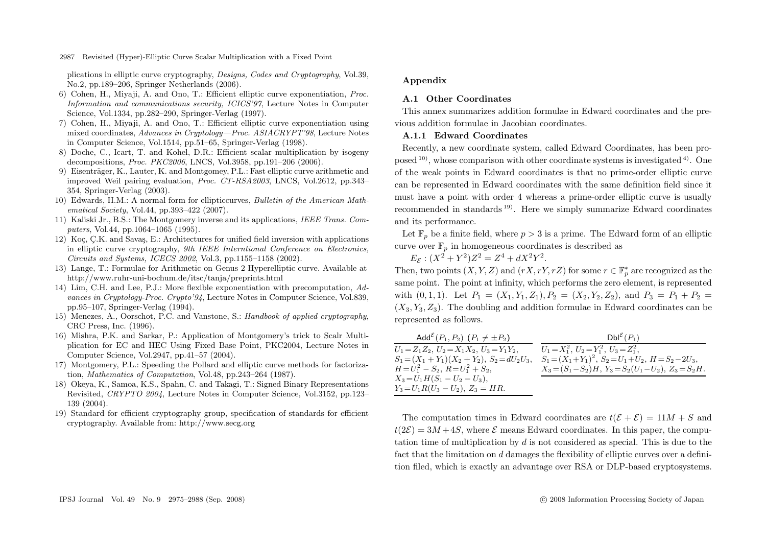plications in elliptic curve cryptography, *Designs, Codes and Cryptography*, Vol.39, No.2, pp.189–206, Springer Netherlands (2006).

- 6) Cohen, H., Miyaji, A. and Ono, T.: Efficient elliptic curve exponentiation, *Proc. Information and communications security, ICICS'97*, Lecture Notes in Computer Science, Vol.1334, pp.282–290, Springer-Verlag (1997).
- 7) Cohen, H., Miyaji, A. and Ono, T.: Efficient elliptic curve exponentiation using mixed coordinates, *Advances in Cryptology—Proc. ASIACRYPT'98*, Lecture Notes in Computer Science, Vol.1514, pp.51–65, Springer-Verlag (1998).
- 8) Doche, C., Icart, T. and Kohel, D.R.: Efficient scalar multiplication by isogeny decompositions, *Proc. PKC2006*, LNCS, Vol.3958, pp.191–206 (2006).
- 9) Eisenträger, K., Lauter, K. and Montgomey, P.L.: Fast elliptic curve arithmetic and improved Weil pairing evaluation, *Proc. CT-RSA2003*, LNCS, Vol.2612, pp.343– 354, Springer-Verlag (2003).
- 10) Edwards, H.M.: A normal form for ellipticcurves, *Bulletin of the American Mathematical Society*, Vol.44, pp.393–422 (2007).
- 11) Kaliski Jr., B.S.: The Montgomery inverse and its applications, *IEEE Trans. Computers*, Vol.44, pp.1064–1065 (1995).
- 12) Koç, C.K. and Savaş, E.: Architectures for unified field inversion with applications in elliptic curve cryptography, *9th IEEE Interntional Conference on Electronics, Circuits and Systems, ICECS 2002*, Vol.3, pp.1155–1158 (2002).
- 13) Lange, T.: Formulae for Arithmetic on Genus 2 Hyperelliptic curve. Available at http://www.ruhr-uni-bochum.de/itsc/tanja/preprints.html
- 14) Lim, C.H. and Lee, P.J.: More flexible exponentiation with precomputation, *Advances in Cryptology-Proc. Crypto'94*, Lecture Notes in Computer Science, Vol.839, pp.95–107, Springer-Verlag (1994).
- 15) Menezes, A., Oorschot, P.C. and Vanstone, S.: *Handbook of applied cryptography*, CRC Press, Inc. (1996).
- 16) Mishra, P.K. and Sarkar, P.: Application of Montgomery's trick to Scalr Multiplication for EC and HEC Using Fixed Base Point, PKC2004, Lecture Notes in Computer Science, Vol.2947, pp.41–57 (2004).
- 17) Montgomery, P.L.: Speeding the Pollard and elliptic curve methods for factorization, *Mathematics of Computation*, Vol.48, pp.243–264 (1987).
- 18) Okeya, K., Samoa, K.S., Spahn, C. and Takagi, T.: Signed Binary Representations Revisited, *CRYPTO 2004*, Lecture Notes in Computer Science, Vol.3152, pp.123– 139 (2004).
- 19) Standard for efficient cryptography group, specification of standards for efficient cryptography. Available from: http://www.secg.org

#### **Appendix**

# **A.1 Other Coordinates**

This annex summarizes addition formulae in Edward coordinates and the previous addition formulae in Jacobian coordinates.

#### **A.1.1 Edward Coordinates**

Recently, a new coordinate system, called Edward Coordinates, has been proposed  $10$ ), whose comparison with other coordinate systems is investigated  $4$ ). One of the weak points in Edward coordinates is that no prime-order elliptic curve can be represented in Edward coordinates with the same definition field since it must have a point with order 4 whereas a prime-order elliptic curve is usually recommended in standards 19). Here we simply summarize Edward coordinates and its performance.

Let  $\mathbb{F}_n$  be a finite field, where  $p > 3$  is a prime. The Edward form of an elliptic curve over  $\mathbb{F}_n$  in homogeneous coordinates is described as

 $E_{\mathcal{E}}$ :  $(X^2 + Y^2)Z^2 = Z^4 + dX^2Y^2$ .

Then, two points  $(X, Y, Z)$  and  $(rX, rY, rZ)$  for some  $r \in \mathbb{F}_p^*$  are recognized as the same point. The point at infinity, which performs the zero element, is represented with  $(0, 1, 1)$ . Let  $P_1 = (X_1, Y_1, Z_1), P_2 = (X_2, Y_2, Z_2)$ , and  $P_3 = P_1 + P_2$  $(X_3, Y_3, Z_3)$ . The doubling and addition formulae in Edward coordinates can be represented as follows.

| Add <sup><math>\mathcal{E}(P_1, P_2)</math> <math>(P_1 \neq \pm P_2)</math></sup> | $Dbl^{\mathcal{E}}(P_1)$                                       |
|-----------------------------------------------------------------------------------|----------------------------------------------------------------|
| $U_1 = Z_1 Z_2, U_2 = X_1 X_2, U_3 = Y_1 Y_2,$                                    | $U_1 = X_1^2$ , $U_2 = Y_1^2$ , $U_3 = Z_1^2$ ,                |
| $S_1 = (X_1 + Y_1)(X_2 + Y_2), S_2 = dU_2U_3,$                                    | $S_1 = (X_1 + Y_1)^2$ , $S_2 = U_1 + U_2$ , $H = S_2 - 2U_3$ , |
| $H=U_1^2-S_2, R=U_1^2+S_2,$                                                       | $X_3 = (S_1 - S_2)H$ , $Y_3 = S_2(U_1 - U_2)$ , $Z_3 = S_2H$ . |
| $X_3 = U_1 H (S_1 - U_2 - U_3),$                                                  |                                                                |
| $Y_3 = U_1 R (U_3 - U_2), Z_3 = H R.$                                             |                                                                |

The computation times in Edward coordinates are  $t(\mathcal{E} + \mathcal{E}) = 11M + S$  and  $t(2\mathcal{E})=3M+4S$ , where  $\mathcal E$  means Edward coordinates. In this paper, the computation time of multiplication by  $d$  is not considered as special. This is due to the fact that the limitation on d damages the flexibility of elliptic curves over a definition filed, which is exactly an advantage over RSA or DLP-based cryptosystems.